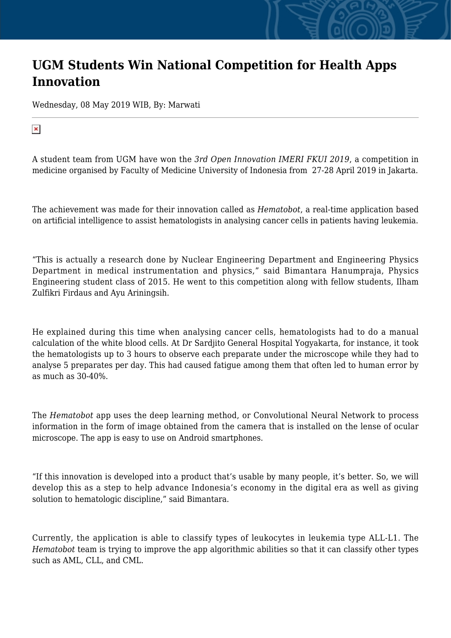## **UGM Students Win National Competition for Health Apps Innovation**

Wednesday, 08 May 2019 WIB, By: Marwati

 $\pmb{\times}$ 

A student team from UGM have won the *3rd Open Innovation IMERI FKUI 2019*, a competition in medicine organised by Faculty of Medicine University of Indonesia from 27-28 April 2019 in Jakarta.

The achievement was made for their innovation called as *Hematobot*, a real-time application based on artificial intelligence to assist hematologists in analysing cancer cells in patients having leukemia.

"This is actually a research done by Nuclear Engineering Department and Engineering Physics Department in medical instrumentation and physics," said Bimantara Hanumpraja, Physics Engineering student class of 2015. He went to this competition along with fellow students, Ilham Zulfikri Firdaus and Ayu Ariningsih.

He explained during this time when analysing cancer cells, hematologists had to do a manual calculation of the white blood cells. At Dr Sardjito General Hospital Yogyakarta, for instance, it took the hematologists up to 3 hours to observe each preparate under the microscope while they had to analyse 5 preparates per day. This had caused fatigue among them that often led to human error by as much as 30-40%.

The *Hematobot* app uses the deep learning method, or Convolutional Neural Network to process information in the form of image obtained from the camera that is installed on the lense of ocular microscope. The app is easy to use on Android smartphones.

"If this innovation is developed into a product that's usable by many people, it's better. So, we will develop this as a step to help advance Indonesia's economy in the digital era as well as giving solution to hematologic discipline," said Bimantara.

Currently, the application is able to classify types of leukocytes in leukemia type ALL-L1. The *Hematobot* team is trying to improve the app algorithmic abilities so that it can classify other types such as AML, CLL, and CML.